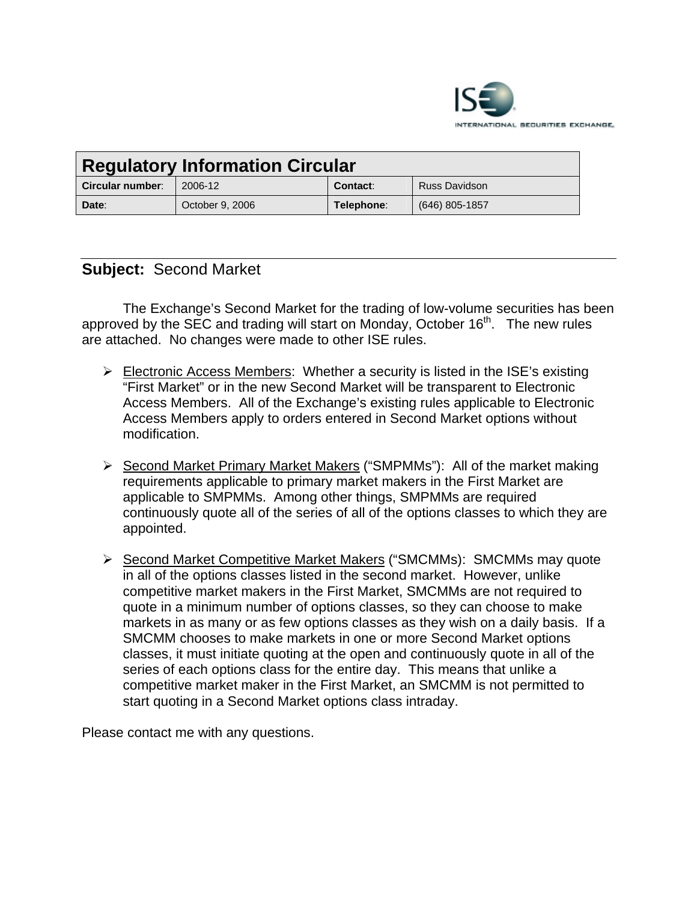

| <b>Regulatory Information Circular</b> |                 |            |                |
|----------------------------------------|-----------------|------------|----------------|
| <b>Circular number:</b>                | 2006-12         | Contact:   | Russ Davidson  |
| Date:                                  | October 9, 2006 | Telephone: | (646) 805-1857 |

# **Subject:** Second Market

The Exchange's Second Market for the trading of low-volume securities has been approved by the SEC and trading will start on Monday, October  $16<sup>th</sup>$ . The new rules are attached. No changes were made to other ISE rules.

- $\triangleright$  Electronic Access Members: Whether a security is listed in the ISE's existing "First Market" or in the new Second Market will be transparent to Electronic Access Members. All of the Exchange's existing rules applicable to Electronic Access Members apply to orders entered in Second Market options without modification.
- ¾ Second Market Primary Market Makers ("SMPMMs"): All of the market making requirements applicable to primary market makers in the First Market are applicable to SMPMMs. Among other things, SMPMMs are required continuously quote all of the series of all of the options classes to which they are appointed.
- ¾ Second Market Competitive Market Makers ("SMCMMs): SMCMMs may quote in all of the options classes listed in the second market. However, unlike competitive market makers in the First Market, SMCMMs are not required to quote in a minimum number of options classes, so they can choose to make markets in as many or as few options classes as they wish on a daily basis. If a SMCMM chooses to make markets in one or more Second Market options classes, it must initiate quoting at the open and continuously quote in all of the series of each options class for the entire day. This means that unlike a competitive market maker in the First Market, an SMCMM is not permitted to start quoting in a Second Market options class intraday.

Please contact me with any questions.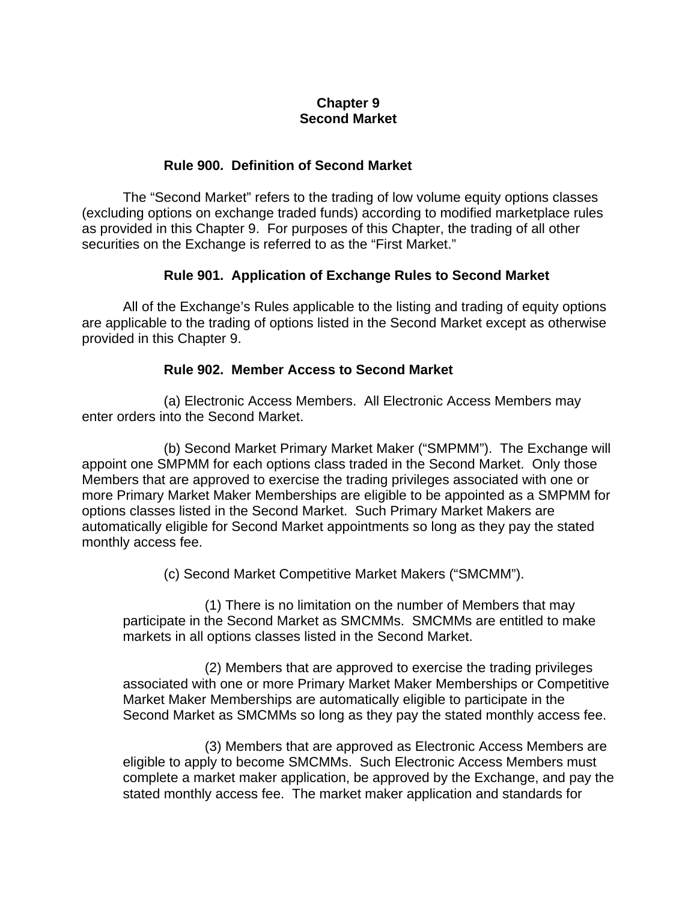### **Chapter 9 Second Market**

#### **Rule 900. Definition of Second Market**

 The "Second Market" refers to the trading of low volume equity options classes (excluding options on exchange traded funds) according to modified marketplace rules as provided in this Chapter 9. For purposes of this Chapter, the trading of all other securities on the Exchange is referred to as the "First Market."

### **Rule 901. Application of Exchange Rules to Second Market**

 All of the Exchange's Rules applicable to the listing and trading of equity options are applicable to the trading of options listed in the Second Market except as otherwise provided in this Chapter 9.

### **Rule 902. Member Access to Second Market**

(a) Electronic Access Members. All Electronic Access Members may enter orders into the Second Market.

(b) Second Market Primary Market Maker ("SMPMM"). The Exchange will appoint one SMPMM for each options class traded in the Second Market. Only those Members that are approved to exercise the trading privileges associated with one or more Primary Market Maker Memberships are eligible to be appointed as a SMPMM for options classes listed in the Second Market. Such Primary Market Makers are automatically eligible for Second Market appointments so long as they pay the stated monthly access fee.

(c) Second Market Competitive Market Makers ("SMCMM").

(1) There is no limitation on the number of Members that may participate in the Second Market as SMCMMs. SMCMMs are entitled to make markets in all options classes listed in the Second Market.

(2) Members that are approved to exercise the trading privileges associated with one or more Primary Market Maker Memberships or Competitive Market Maker Memberships are automatically eligible to participate in the Second Market as SMCMMs so long as they pay the stated monthly access fee.

(3) Members that are approved as Electronic Access Members are eligible to apply to become SMCMMs. Such Electronic Access Members must complete a market maker application, be approved by the Exchange, and pay the stated monthly access fee. The market maker application and standards for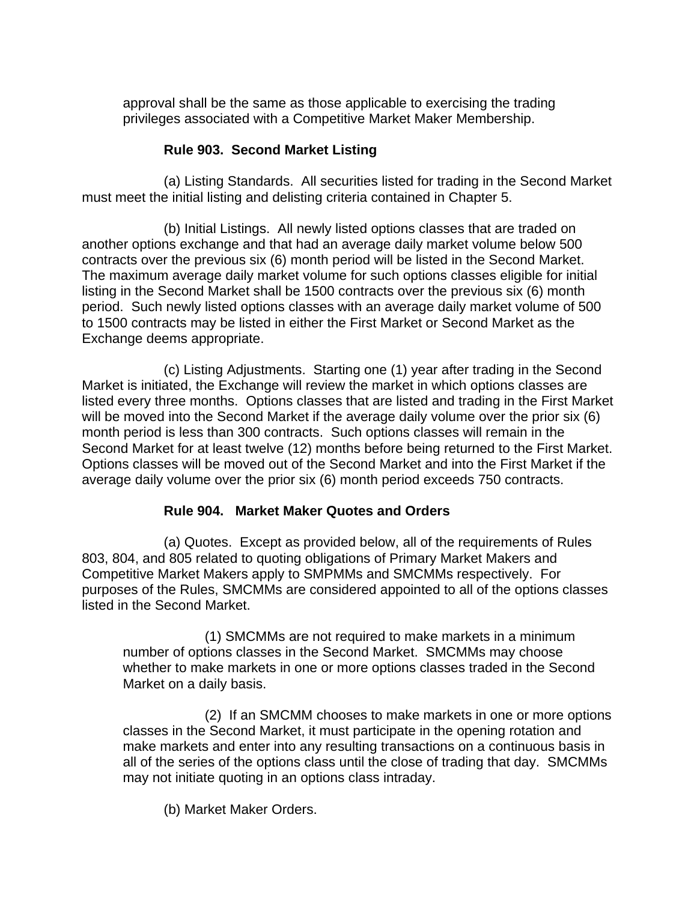approval shall be the same as those applicable to exercising the trading privileges associated with a Competitive Market Maker Membership.

## **Rule 903. Second Market Listing**

(a) Listing Standards. All securities listed for trading in the Second Market must meet the initial listing and delisting criteria contained in Chapter 5.

(b) Initial Listings. All newly listed options classes that are traded on another options exchange and that had an average daily market volume below 500 contracts over the previous six (6) month period will be listed in the Second Market. The maximum average daily market volume for such options classes eligible for initial listing in the Second Market shall be 1500 contracts over the previous six (6) month period. Such newly listed options classes with an average daily market volume of 500 to 1500 contracts may be listed in either the First Market or Second Market as the Exchange deems appropriate.

 (c) Listing Adjustments. Starting one (1) year after trading in the Second Market is initiated, the Exchange will review the market in which options classes are listed every three months. Options classes that are listed and trading in the First Market will be moved into the Second Market if the average daily volume over the prior six (6) month period is less than 300 contracts. Such options classes will remain in the Second Market for at least twelve (12) months before being returned to the First Market. Options classes will be moved out of the Second Market and into the First Market if the average daily volume over the prior six (6) month period exceeds 750 contracts.

## **Rule 904. Market Maker Quotes and Orders**

(a) Quotes. Except as provided below, all of the requirements of Rules 803, 804, and 805 related to quoting obligations of Primary Market Makers and Competitive Market Makers apply to SMPMMs and SMCMMs respectively. For purposes of the Rules, SMCMMs are considered appointed to all of the options classes listed in the Second Market.

(1) SMCMMs are not required to make markets in a minimum number of options classes in the Second Market. SMCMMs may choose whether to make markets in one or more options classes traded in the Second Market on a daily basis.

(2) If an SMCMM chooses to make markets in one or more options classes in the Second Market, it must participate in the opening rotation and make markets and enter into any resulting transactions on a continuous basis in all of the series of the options class until the close of trading that day. SMCMMs may not initiate quoting in an options class intraday.

(b) Market Maker Orders.